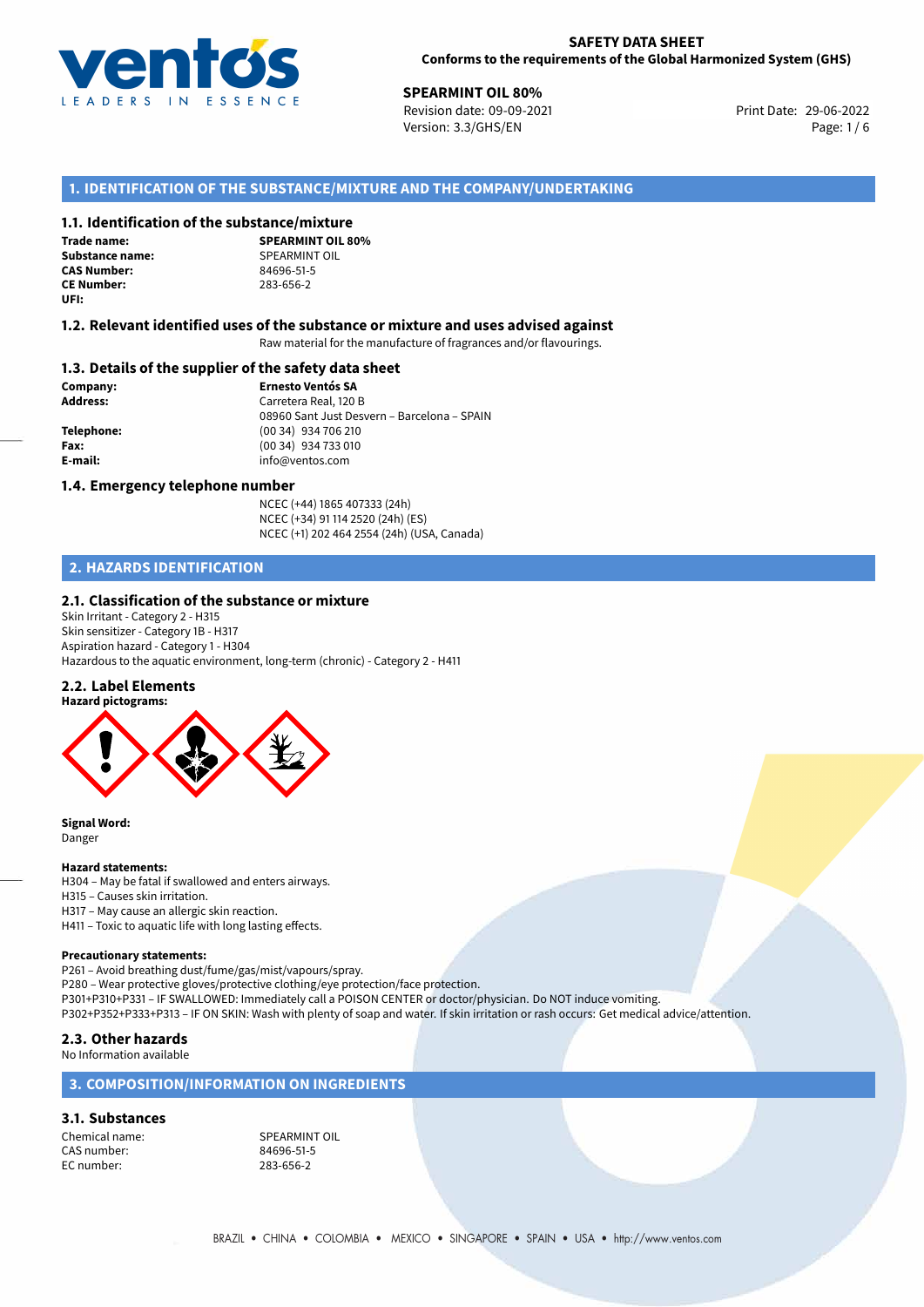

**29-06-2022 SPEARMINT OIL 80%**<br>
Revision date: 09-09-2021 **Print Date: 29-06-2022** Version: 3.3/GHS/EN Page: 1 / 6

## **1. IDENTIFICATION OF THE SUBSTANCE/MIXTURE AND THE COMPANY/UNDERTAKING**

## **1.1. Identification of the substance/mixture**

**Trade name: Substance name:** SPEARMINT OIL<br> **CAS Number:** 84696-51-5 **CAS Number: CE Number:** 283-656-2 **UFI:**

**SPEARMINT OIL 80%**

## **1.2. Relevant identified uses of the substance or mixture and uses advised against**

Raw material for the manufacture of fragrances and/or flavourings.

## **1.3. Details of the supplier of the safety data sheet**

**Company: Ernesto Ventós SA Address:** Carretera Real, 120 B 08960 Sant Just Desvern – Barcelona – SPAIN **Telephone:** (00 34) 934 706 210 **Fax:** (00 34) 934 733 010 **E-mail:** info@ventos.com

### **1.4. Emergency telephone number**

NCEC (+44) 1865 407333 (24h) NCEC (+34) 91 114 2520 (24h) (ES) NCEC (+1) 202 464 2554 (24h) (USA, Canada)

## **2. HAZARDS IDENTIFICATION**

## **2.1. Classification of the substance or mixture**

Skin Irritant - Category 2 - H315 Skin sensitizer - Category 1B - H317 Aspiration hazard - Category 1 - H304 Hazardous to the aquatic environment, long-term (chronic) - Category 2 - H411

#### **2.2. Label Elements**



**Signal Word:** Danger

#### **Hazard statements:**

H304 – May be fatal if swallowed and enters airways.

H315 – Causes skin irritation.

H317 – May cause an allergic skin reaction.

H411 – Toxic to aquatic life with long lasting effects.

#### **Precautionary statements:**

P261 – Avoid breathing dust/fume/gas/mist/vapours/spray. P280 – Wear protective gloves/protective clothing/eye protection/face protection. P301+P310+P331 – IF SWALLOWED: Immediately call a POISON CENTER or doctor/physician. Do NOT induce vomiting.

P302+P352+P333+P313 – IF ON SKIN: Wash with plenty of soap and water. If skin irritation or rash occurs: Get medical advice/attention.

## **2.3. Other hazards**

## No Information available

## **3. COMPOSITION/INFORMATION ON INGREDIENTS**

#### **3.1. Substances**

CAS number: EC number: 283-656-2

Chemical name:<br>
CAS number:<br>
CAS number:<br>
S4696-51-5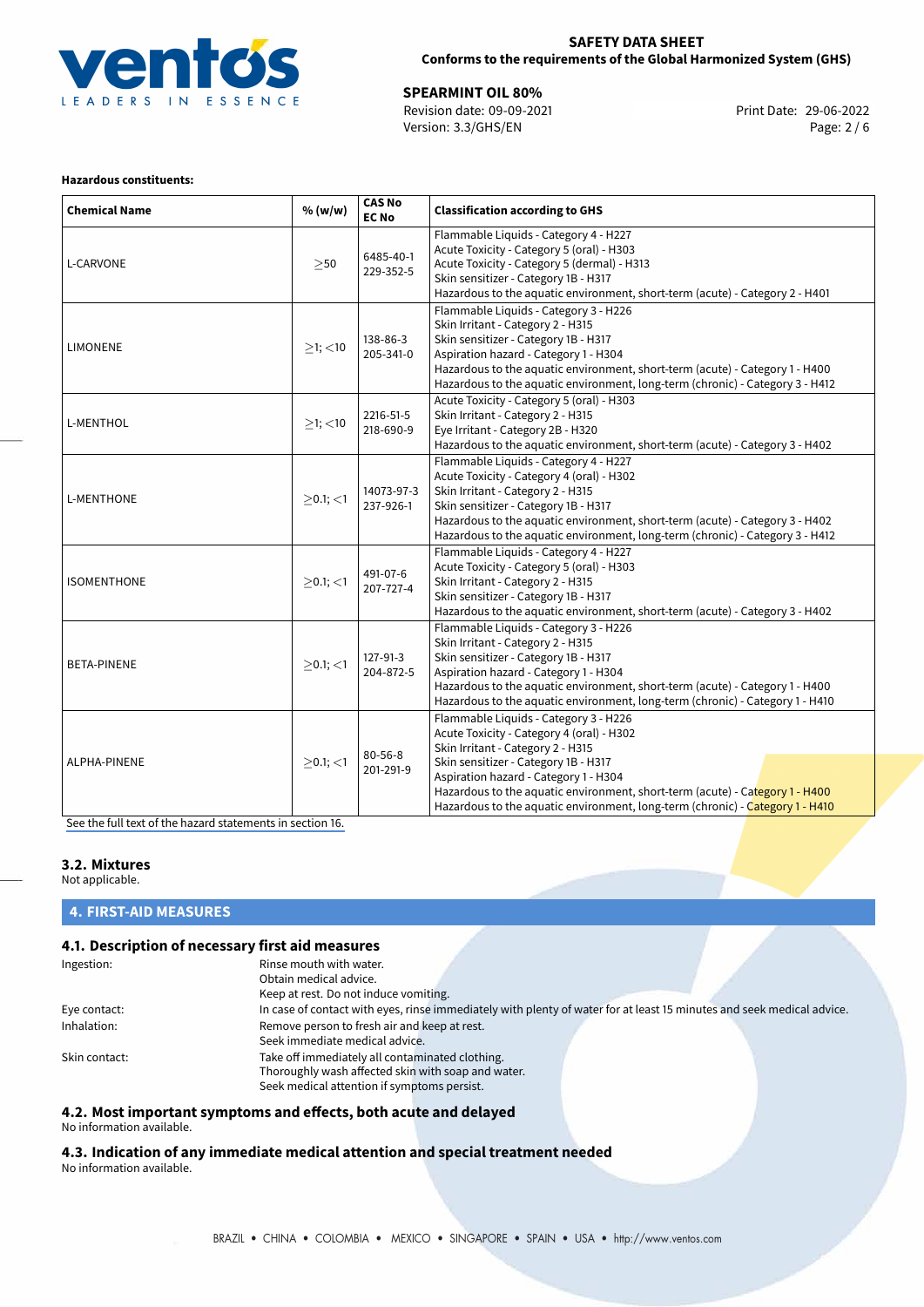

## **SAFETY DATA SHEET Conforms to the requirements of the Global Harmonized System (GHS)**

**29-06-2022 SPEARMINT OIL 80%**<br>
Revision date: 09-09-2021 **Print Date: 29-06-2022** Version: 3.3/GHS/EN Page: 2 / 6

## **Hazardous constituents:**

| <b>Chemical Name</b> | % (w/w)       | <b>CAS No</b><br><b>EC No</b> | <b>Classification according to GHS</b>                                                                                                                                                                                                                                                                                                                                    |  |
|----------------------|---------------|-------------------------------|---------------------------------------------------------------------------------------------------------------------------------------------------------------------------------------------------------------------------------------------------------------------------------------------------------------------------------------------------------------------------|--|
| L-CARVONE            | $\geq$ 50     | 6485-40-1<br>229-352-5        | Flammable Liquids - Category 4 - H227<br>Acute Toxicity - Category 5 (oral) - H303<br>Acute Toxicity - Category 5 (dermal) - H313<br>Skin sensitizer - Category 1B - H317<br>Hazardous to the aquatic environment, short-term (acute) - Category 2 - H401                                                                                                                 |  |
| <b>LIMONENE</b>      | $\geq$ 1; <10 | 138-86-3<br>205-341-0         | Flammable Liquids - Category 3 - H226<br>Skin Irritant - Category 2 - H315<br>Skin sensitizer - Category 1B - H317<br>Aspiration hazard - Category 1 - H304<br>Hazardous to the aquatic environment, short-term (acute) - Category 1 - H400<br>Hazardous to the aquatic environment, long-term (chronic) - Category 3 - H412                                              |  |
| L-MENTHOL            | $\geq$ 1; <10 | 2216-51-5<br>218-690-9        | Acute Toxicity - Category 5 (oral) - H303<br>Skin Irritant - Category 2 - H315<br>Eye Irritant - Category 2B - H320<br>Hazardous to the aquatic environment, short-term (acute) - Category 3 - H402                                                                                                                                                                       |  |
| <b>L-MENTHONE</b>    | $>0.1$ ; <1   | 14073-97-3<br>237-926-1       | Flammable Liquids - Category 4 - H227<br>Acute Toxicity - Category 4 (oral) - H302<br>Skin Irritant - Category 2 - H315<br>Skin sensitizer - Category 1B - H317<br>Hazardous to the aquatic environment, short-term (acute) - Category 3 - H402<br>Hazardous to the aquatic environment, long-term (chronic) - Category 3 - H412                                          |  |
| <b>ISOMENTHONE</b>   | $>0.1$ ; <1   | 491-07-6<br>207-727-4         | Flammable Liquids - Category 4 - H227<br>Acute Toxicity - Category 5 (oral) - H303<br>Skin Irritant - Category 2 - H315<br>Skin sensitizer - Category 1B - H317<br>Hazardous to the aquatic environment, short-term (acute) - Category 3 - H402                                                                                                                           |  |
| BETA-PINENE          | $>0.1$ ; <1   | $127 - 91 - 3$<br>204-872-5   | Flammable Liquids - Category 3 - H226<br>Skin Irritant - Category 2 - H315<br>Skin sensitizer - Category 1B - H317<br>Aspiration hazard - Category 1 - H304<br>Hazardous to the aquatic environment, short-term (acute) - Category 1 - H400<br>Hazardous to the aquatic environment, long-term (chronic) - Category 1 - H410                                              |  |
| ALPHA-PINENE         | $>0.1$ ; <1   | $80 - 56 - 8$<br>201-291-9    | Flammable Liquids - Category 3 - H226<br>Acute Toxicity - Category 4 (oral) - H302<br>Skin Irritant - Category 2 - H315<br>Skin sensitizer - Category 1B - H317<br>Aspiration hazard - Category 1 - H304<br>Hazardous to the aquatic environment, short-term (acute) - Category 1 - H400<br>Hazardous to the aquatic environment, long-term (chronic) - Category 1 - H410 |  |

[See the full text of the hazard statements in section 16.](#page-4-0)

## **3.2. Mixtures**

Not applicable.

## **4. FIRST-AID MEASURES**

## **4.1. Description of necessary first aid measures**

| Ingestion:    | Rinse mouth with water.                                                                                               |
|---------------|-----------------------------------------------------------------------------------------------------------------------|
|               | Obtain medical advice.                                                                                                |
|               | Keep at rest. Do not induce vomiting.                                                                                 |
| Eye contact:  | In case of contact with eyes, rinse immediately with plenty of water for at least 15 minutes and seek medical advice. |
| Inhalation:   | Remove person to fresh air and keep at rest.                                                                          |
|               | Seek immediate medical advice.                                                                                        |
| Skin contact: | Take off immediately all contaminated clothing.                                                                       |
|               | Thoroughly wash affected skin with soap and water.                                                                    |
|               | Seek medical attention if symptoms persist.                                                                           |

## **4.2. Most important symptoms and effects, both acute and delayed**

No information available.

**4.3. Indication of any immediate medical attention and special treatment needed** No information available.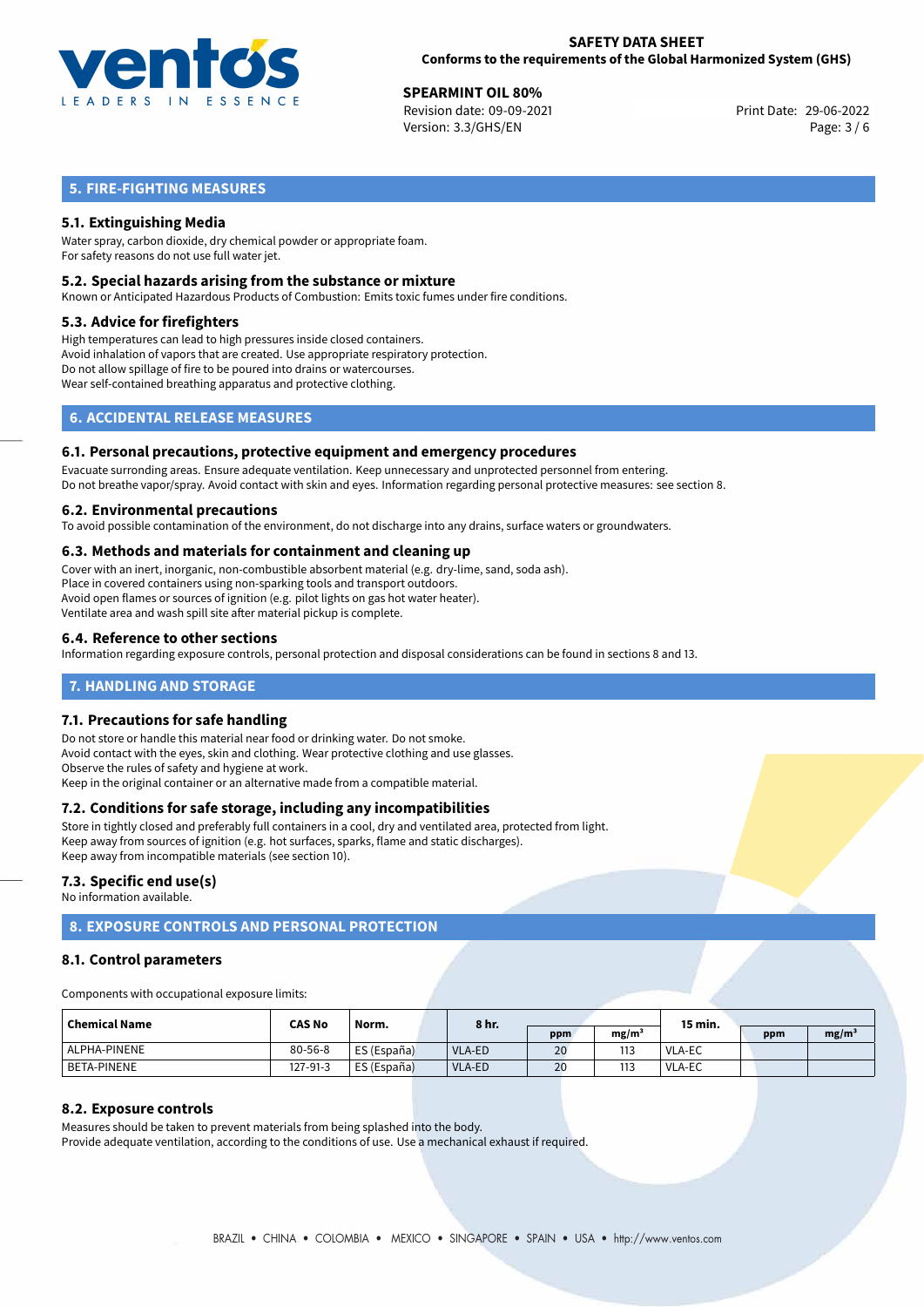

**29-06-2022 SPEARMINT OIL 80%**<br>
Revision date: 09-09-2021 **Print Date: 29-06-2022** Version: 3.3/GHS/EN Page: 3 / 6

## **5. FIRE-FIGHTING MEASURES**

## **5.1. Extinguishing Media**

Water spray, carbon dioxide, dry chemical powder or appropriate foam. For safety reasons do not use full water jet.

## **5.2. Special hazards arising from the substance or mixture**

Known or Anticipated Hazardous Products of Combustion: Emits toxic fumes under fire conditions.

## **5.3. Advice for firefighters**

High temperatures can lead to high pressures inside closed containers. Avoid inhalation of vapors that are created. Use appropriate respiratory protection. Do not allow spillage of fire to be poured into drains or watercourses. Wear self-contained breathing apparatus and protective clothing.

## **6. ACCIDENTAL RELEASE MEASURES**

## **6.1. Personal precautions, protective equipment and emergency procedures**

Evacuate surronding areas. Ensure adequate ventilation. Keep unnecessary and unprotected personnel from entering. Do not breathe vapor/spray. Avoid contact with skin and eyes. Information regarding personal protective measures: see section 8.

## **6.2. Environmental precautions**

To avoid possible contamination of the environment, do not discharge into any drains, surface waters or groundwaters.

## **6.3. Methods and materials for containment and cleaning up**

Cover with an inert, inorganic, non-combustible absorbent material (e.g. dry-lime, sand, soda ash). Place in covered containers using non-sparking tools and transport outdoors. Avoid open flames or sources of ignition (e.g. pilot lights on gas hot water heater). Ventilate area and wash spill site after material pickup is complete.

## **6.4. Reference to other sections**

Information regarding exposure controls, personal protection and disposal considerations can be found in sections 8 and 13.

## **7. HANDLING AND STORAGE**

## **7.1. Precautions for safe handling**

Do not store or handle this material near food or drinking water. Do not smoke. Avoid contact with the eyes, skin and clothing. Wear protective clothing and use glasses. Observe the rules of safety and hygiene at work. Keep in the original container or an alternative made from a compatible material.

### **7.2. Conditions for safe storage, including any incompatibilities**

Store in tightly closed and preferably full containers in a cool, dry and ventilated area, protected from light. Keep away from sources of ignition (e.g. hot surfaces, sparks, flame and static discharges). Keep away from incompatible materials (see section 10).

## **7.3. Specific end use(s)**

No information available.

## **8. EXPOSURE CONTROLS AND PERSONAL PROTECTION**

## **8.1. Control parameters**

Components with occupational exposure limits:

| <b>Chemical Name</b> | <b>CAS No</b> | Norm.       | 8 hr.         |     |                   | 15 min.       |     |                   |
|----------------------|---------------|-------------|---------------|-----|-------------------|---------------|-----|-------------------|
|                      |               |             |               | ppm | mg/m <sup>3</sup> |               | ppm | mg/m <sup>3</sup> |
| ALPHA-PINENE         | $80 - 56 - 8$ | ES (España) | <b>VLA-ED</b> | 20  | 113               | VLA-EC        |     |                   |
| l BETA-PINENE        | 127-91-3      | ES (España) | <b>VLA-ED</b> | 20  | 113               | <b>VLA-EC</b> |     |                   |

## **8.2. Exposure controls**

Measures should be taken to prevent materials from being splashed into the body. Provide adequate ventilation, according to the conditions of use. Use a mechanical exhaust if required.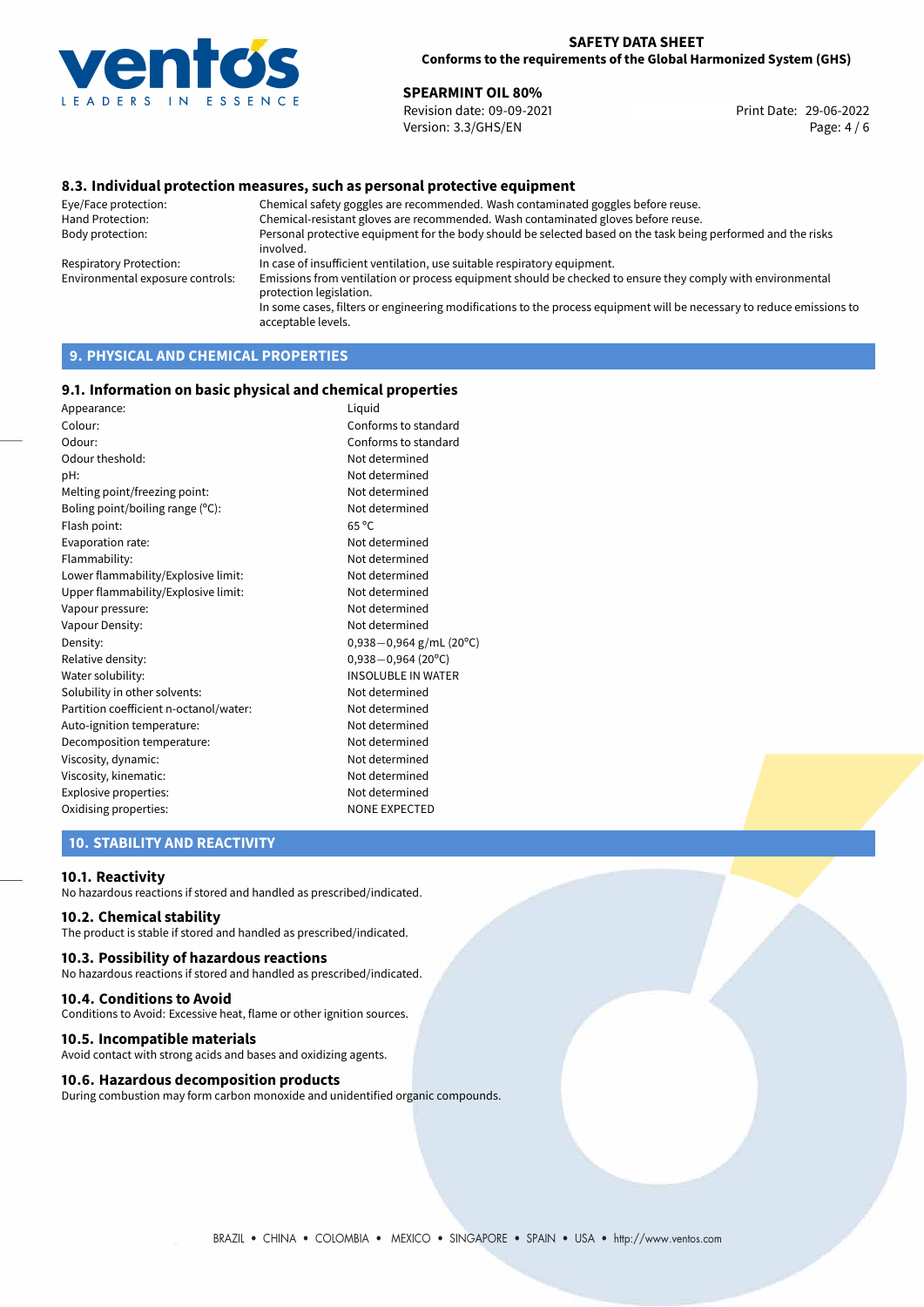

# **29-06-2022 SPEARMINT OIL 80%**<br>29-06-2022 Revision date: 09-09-2021

Revision date: 09-09-2021 Version: 3.3/GHS/EN Page: 4 / 6

## **8.3. Individual protection measures, such as personal protective equipment**

Eye/Face protection: Chemical safety goggles are recommended. Wash contaminated goggles before reuse. Chemical-resistant gloves are recommended. Wash contaminated gloves before reuse. Body protection: Personal protective equipment for the body should be selected based on the task being performed and the risks involved. Respiratory Protection: In case of insufficient ventilation, use suitable respiratory equipment. Environmental exposure controls: Emissions from ventilation or process equipment should be checked to ensure they comply with environmental protection legislation. In some cases, filters or engineering modifications to the process equipment will be necessary to reduce emissions to acceptable levels.

## **9. PHYSICAL AND CHEMICAL PROPERTIES**

## **9.1. Information on basic physical and chemical properties**

| Appearance:                            | Liquid                    |
|----------------------------------------|---------------------------|
| Colour:                                | Conforms to standard      |
| Odour:                                 | Conforms to standard      |
| Odour theshold:                        | Not determined            |
| pH:                                    | Not determined            |
| Melting point/freezing point:          | Not determined            |
| Boling point/boiling range (°C):       | Not determined            |
| Flash point:                           | $65^{\circ}$ C            |
| Evaporation rate:                      | Not determined            |
| Flammability:                          | Not determined            |
| Lower flammability/Explosive limit:    | Not determined            |
| Upper flammability/Explosive limit:    | Not determined            |
| Vapour pressure:                       | Not determined            |
| Vapour Density:                        | Not determined            |
| Density:                               | $0,938-0,964$ g/mL (20°C) |
| Relative density:                      | $0,938 - 0,964$ (20°C)    |
| Water solubility:                      | <b>INSOLUBLE IN WATER</b> |
| Solubility in other solvents:          | Not determined            |
| Partition coefficient n-octanol/water: | Not determined            |
| Auto-ignition temperature:             | Not determined            |
| Decomposition temperature:             | Not determined            |
| Viscosity, dynamic:                    | Not determined            |
| Viscosity, kinematic:                  | Not determined            |
| Explosive properties:                  | Not determined            |
| Oxidising properties:                  | <b>NONE EXPECTED</b>      |

## **10. STABILITY AND REACTIVITY**

#### **10.1. Reactivity**

No hazardous reactions if stored and handled as prescribed/indicated.

## **10.2. Chemical stability**

The product is stable if stored and handled as prescribed/indicated.

#### **10.3. Possibility of hazardous reactions**

No hazardous reactions if stored and handled as prescribed/indicated.

#### **10.4. Conditions to Avoid**

Conditions to Avoid: Excessive heat, flame or other ignition sources.

## **10.5. Incompatible materials**

Avoid contact with strong acids and bases and oxidizing agents.

## **10.6. Hazardous decomposition products**

During combustion may form carbon monoxide and unidentified organic compounds.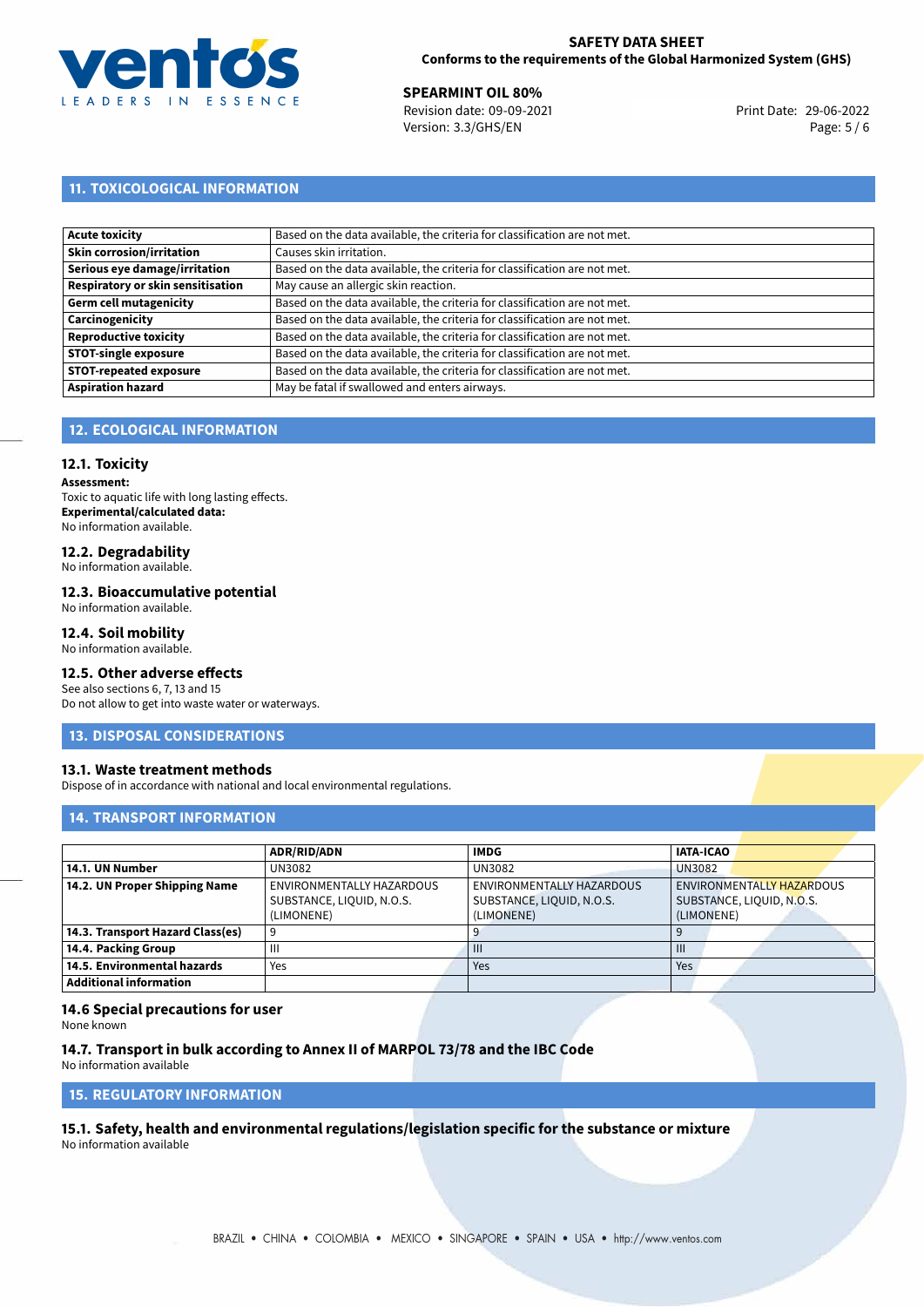

**29-06-2022 SPEARMINT OIL 80%**<br>
Revision date: 09-09-2021 **Print Date: 29-06-2022** Version: 3.3/GHS/EN Page: 5 / 6

## **11. TOXICOLOGICAL INFORMATION**

| Acute toxicity                    | Based on the data available, the criteria for classification are not met. |
|-----------------------------------|---------------------------------------------------------------------------|
| Skin corrosion/irritation         | Causes skin irritation.                                                   |
| Serious eye damage/irritation     | Based on the data available, the criteria for classification are not met. |
| Respiratory or skin sensitisation | May cause an allergic skin reaction.                                      |
| Germ cell mutagenicity            | Based on the data available, the criteria for classification are not met. |
| Carcinogenicity                   | Based on the data available, the criteria for classification are not met. |
| Reproductive toxicity             | Based on the data available, the criteria for classification are not met. |
| <b>STOT-single exposure</b>       | Based on the data available, the criteria for classification are not met. |
| <b>STOT-repeated exposure</b>     | Based on the data available, the criteria for classification are not met. |
| Aspiration hazard                 | May be fatal if swallowed and enters airways.                             |

## **12. ECOLOGICAL INFORMATION**

## **12.1. Toxicity**

**Assessment:** Toxic to aquatic life with long lasting effects. **Experimental/calculated data:** No information available.

## **12.2. Degradability**

No information available.

## **12.3. Bioaccumulative potential**

No information available.

## **12.4. Soil mobility**

No information available.

## **12.5. Other adverse effects**

See also sections 6, 7, 13 and 15 Do not allow to get into waste water or waterways.

## **13. DISPOSAL CONSIDERATIONS**

## **13.1. Waste treatment methods**

Dispose of in accordance with national and local environmental regulations.

## **14. TRANSPORT INFORMATION**

|                                  | <b>ADR/RID/ADN</b>        | <b>IMDG</b>               | <b>IATA-ICAO</b>          |
|----------------------------------|---------------------------|---------------------------|---------------------------|
| 14.1. UN Number                  | UN3082                    | UN3082                    | <b>UN3082</b>             |
| 14.2. UN Proper Shipping Name    | ENVIRONMENTALLY HAZARDOUS | ENVIRONMENTALLY HAZARDOUS | ENVIRONMENTALLY HAZARDOUS |
|                                  | SUBSTANCE, LIQUID, N.O.S. | SUBSTANCE, LIQUID, N.O.S. | SUBSTANCE, LIQUID, N.O.S. |
|                                  | (LIMONENE)                | LIMONENE)                 | (LIMONENE)                |
| 14.3. Transport Hazard Class(es) |                           |                           |                           |
| 14.4. Packing Group              | Ш                         | Ш                         | $\mathbf{m}$              |
| 14.5. Environmental hazards      | Yes                       | Yes                       | Yes                       |
| <b>Additional information</b>    |                           |                           |                           |

## **14.6 Special precautions for user**

None known

## **14.7. Transport in bulk according to Annex II of MARPOL 73/78 and the IBC Code**

No information available

## **15. REGULATORY INFORMATION**

<span id="page-4-0"></span>**15.1. Safety, health and environmental regulations/legislation specific for the substance or mixture** No information available